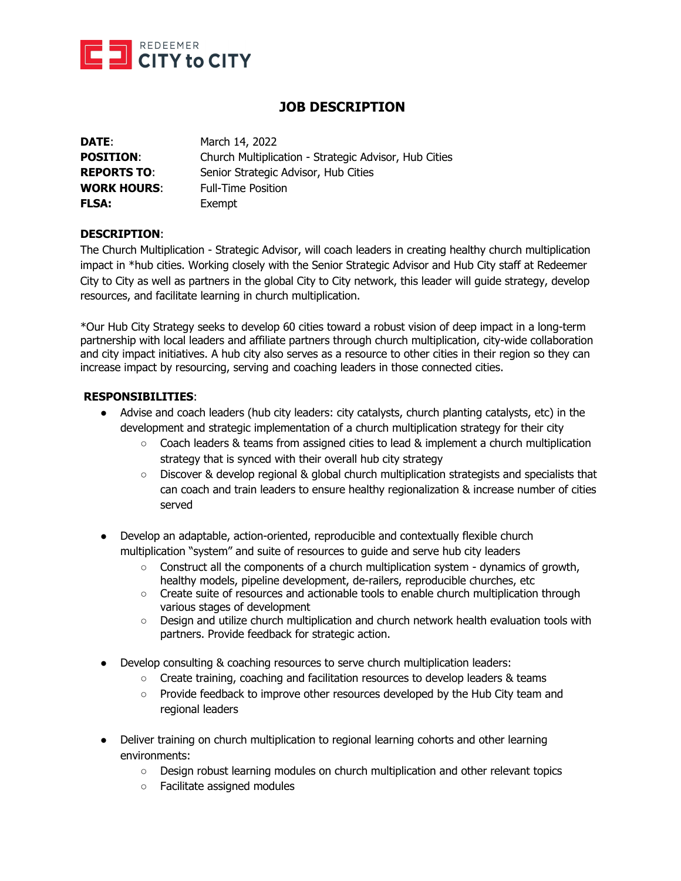

# **JOB DESCRIPTION**

| DATE:              | March 14, 2022                                        |
|--------------------|-------------------------------------------------------|
| <b>POSITION:</b>   | Church Multiplication - Strategic Advisor, Hub Cities |
| <b>REPORTS TO:</b> | Senior Strategic Advisor, Hub Cities                  |
| <b>WORK HOURS:</b> | <b>Full-Time Position</b>                             |
| <b>FLSA:</b>       | Exempt                                                |

#### **DESCRIPTION**:

The Church Multiplication - Strategic Advisor, will coach leaders in creating healthy church multiplication impact in \*hub cities. Working closely with the Senior Strategic Advisor and Hub City staff at Redeemer City to City as well as partners in the global City to City network, this leader will guide strategy, develop resources, and facilitate learning in church multiplication.

\*Our Hub City Strategy seeks to develop 60 cities toward a robust vision of deep impact in a long-term partnership with local leaders and affiliate partners through church multiplication, city-wide collaboration and city impact initiatives. A hub city also serves as a resource to other cities in their region so they can increase impact by resourcing, serving and coaching leaders in those connected cities.

## **RESPONSIBILITIES**:

- Advise and coach leaders (hub city leaders: city catalysts, church planting catalysts, etc) in the development and strategic implementation of a church multiplication strategy for their city
	- Coach leaders & teams from assigned cities to lead & implement a church multiplication strategy that is synced with their overall hub city strategy
	- Discover & develop regional & global church multiplication strategists and specialists that can coach and train leaders to ensure healthy regionalization & increase number of cities served
- Develop an adaptable, action-oriented, reproducible and contextually flexible church multiplication "system" and suite of resources to guide and serve hub city leaders
	- $\circ$  Construct all the components of a church multiplication system dynamics of growth, healthy models, pipeline development, de-railers, reproducible churches, etc
	- Create suite of resources and actionable tools to enable church multiplication through various stages of development
	- Design and utilize church multiplication and church network health evaluation tools with partners. Provide feedback for strategic action.
- Develop consulting & coaching resources to serve church multiplication leaders:
	- Create training, coaching and facilitation resources to develop leaders & teams
	- Provide feedback to improve other resources developed by the Hub City team and regional leaders
- Deliver training on church multiplication to regional learning cohorts and other learning environments:
	- Design robust learning modules on church multiplication and other relevant topics
	- Facilitate assigned modules